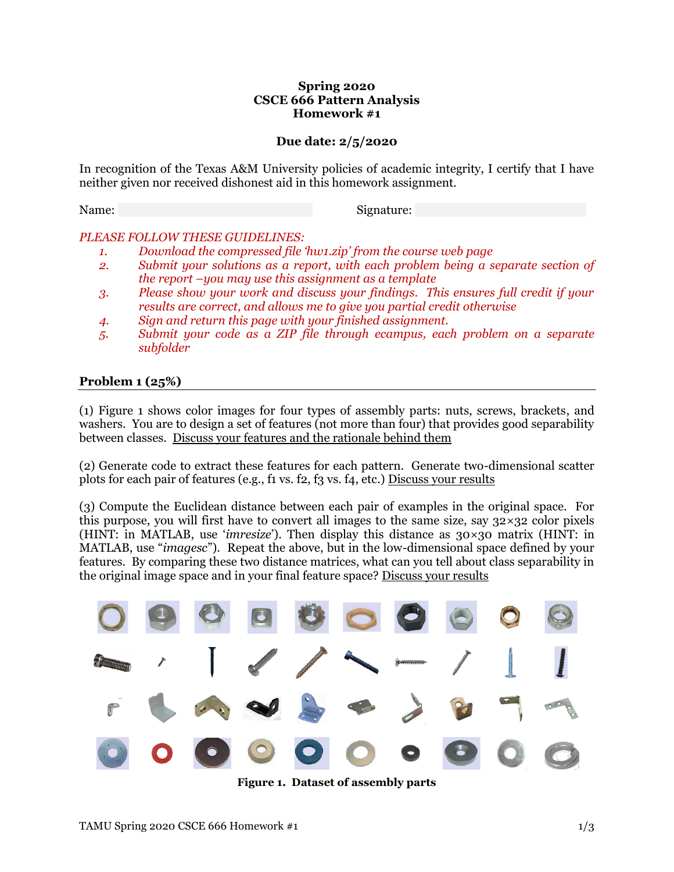### **Spring 2020 CSCE 666 Pattern Analysis Homework #1**

## **Due date: 2/5/2020**

In recognition of the Texas A&M University policies of academic integrity, I certify that I have neither given nor received dishonest aid in this homework assignment.

Name: \_\_\_\_\_\_\_\_\_\_\_\_\_\_\_\_\_\_\_\_\_\_\_\_\_ Signature: \_\_\_\_\_\_\_\_\_\_\_\_\_\_\_\_\_\_\_\_\_\_

## *PLEASE FOLLOW THESE GUIDELINES:*

- *1. Download the compressed file 'hw1.zip' from the course web page*
- *2. Submit your solutions as a report, with each problem being a separate section of the report –you may use this assignment as a template*
- *3. Please show your work and discuss your findings. This ensures full credit if your results are correct, and allows me to give you partial credit otherwise*
- *4. Sign and return this page with your finished assignment.*
- *5. Submit your code as a ZIP file through ecampus, each problem on a separate subfolder*

## **Problem 1 (25%)**

(1) [Figure 1](#page-0-0) shows color images for four types of assembly parts: nuts, screws, brackets, and washers. You are to design a set of features (not more than four) that provides good separability between classes. Discuss your features and the rationale behind them

(2) Generate code to extract these features for each pattern. Generate two-dimensional scatter plots for each pair of features (e.g., f1 vs. f2, f3 vs. f4, etc.) Discuss your results

(3) Compute the Euclidean distance between each pair of examples in the original space. For this purpose, you will first have to convert all images to the same size, say  $32 \times 32$  color pixels (HINT: in MATLAB, use '*imresize*'). Then display this distance as 30×30 matrix (HINT: in MATLAB, use "*imagesc*"). Repeat the above, but in the low-dimensional space defined by your features. By comparing these two distance matrices, what can you tell about class separability in the original image space and in your final feature space? Discuss your results



<span id="page-0-0"></span>**Figure 1. Dataset of assembly parts**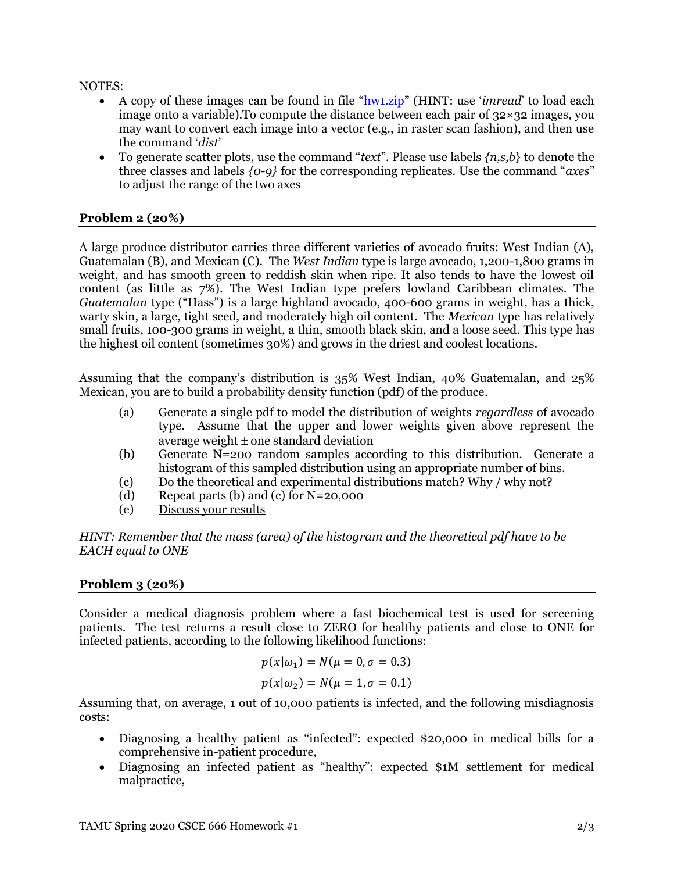NOTES:

- A copy of these images can be found in file "hw1.zip" (HINT: use '*imread*' to load each image onto a variable). To compute the distance between each pair of  $32 \times 32$  images, you may want to convert each image into a vector (e.g., in raster scan fashion), and then use the command '*dist*'
- To generate scatter plots, use the command "*text*". Please use labels *{n,s,b*} to denote the three classes and labels *{0-9}* for the corresponding replicates. Use the command "*axes*" to adjust the range of the two axes

# **Problem 2 (20%)**

A large produce distributor carries three different varieties of avocado fruits: West Indian (A), Guatemalan (B), and Mexican (C). The *West Indian* type is large avocado, 1,200-1,800 grams in weight, and has smooth green to reddish skin when ripe. It also tends to have the lowest oil content (as little as 7%). The West Indian type prefers lowland Caribbean climates. The *Guatemalan* type ("Hass") is a large highland avocado, 400-600 grams in weight, has a thick, warty skin, a large, tight seed, and moderately high oil content. The *Mexican* type has relatively small fruits, 100-300 grams in weight, a thin, smooth black skin, and a loose seed. This type has the highest oil content (sometimes 30%) and grows in the driest and coolest locations.

Assuming that the company's distribution is 35% West Indian, 40% Guatemalan, and 25% Mexican, you are to build a probability density function (pdf) of the produce.

- (a) Generate a single pdf to model the distribution of weights *regardless* of avocado type. Assume that the upper and lower weights given above represent the average weight  $\pm$  one standard deviation
- (b) Generate N=200 random samples according to this distribution. Generate a histogram of this sampled distribution using an appropriate number of bins.
- (c) Do the theoretical and experimental distributions match? Why / why not?
- (d) Repeat parts (b) and (c) for N=20,000
- (e) Discuss your results

*HINT: Remember that the mass (area) of the histogram and the theoretical pdf have to be EACH equal to ONE*

## **Problem 3 (20%)**

Consider a medical diagnosis problem where a fast biochemical test is used for screening patients. The test returns a result close to ZERO for healthy patients and close to ONE for infected patients, according to the following likelihood functions:

$$
p(x|\omega_1) = N(\mu = 0, \sigma = 0.3)
$$
  

$$
p(x|\omega_2) = N(\mu = 1, \sigma = 0.1)
$$

Assuming that, on average, 1 out of 10,000 patients is infected, and the following misdiagnosis costs:

- Diagnosing a healthy patient as "infected": expected \$20,000 in medical bills for a comprehensive in-patient procedure,
- Diagnosing an infected patient as "healthy": expected \$1M settlement for medical malpractice,